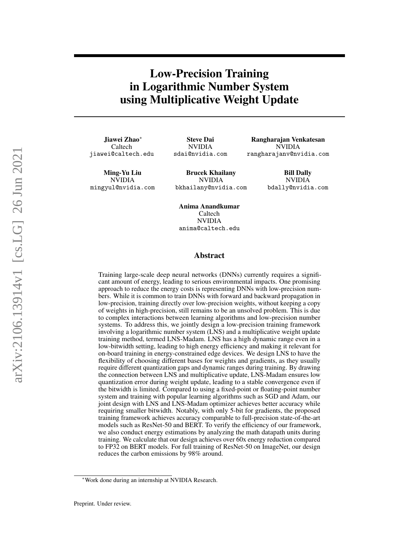# Low-Precision Training in Logarithmic Number System using Multiplicative Weight Update

Jiawei Zhao<sup>∗</sup> Caltech jiawei@caltech.edu

Steve Dai NVIDIA sdai@nvidia.com

Rangharajan Venkatesan NVIDIA rangharajanv@nvidia.com

Ming-Yu Liu NVIDIA mingyul@nvidia.com

Brucek Khailany NVIDIA bkhailany@nvidia.com

Bill Dally NVIDIA bdally@nvidia.com

Anima Anandkumar Caltech NVIDIA anima@caltech.edu

## Abstract

Training large-scale deep neural networks (DNNs) currently requires a significant amount of energy, leading to serious environmental impacts. One promising approach to reduce the energy costs is representing DNNs with low-precision numbers. While it is common to train DNNs with forward and backward propagation in low-precision, training directly over low-precision weights, without keeping a copy of weights in high-precision, still remains to be an unsolved problem. This is due to complex interactions between learning algorithms and low-precision number systems. To address this, we jointly design a low-precision training framework involving a logarithmic number system (LNS) and a multiplicative weight update training method, termed LNS-Madam. LNS has a high dynamic range even in a low-bitwidth setting, leading to high energy efficiency and making it relevant for on-board training in energy-constrained edge devices. We design LNS to have the flexibility of choosing different bases for weights and gradients, as they usually require different quantization gaps and dynamic ranges during training. By drawing the connection between LNS and multiplicative update, LNS-Madam ensures low quantization error during weight update, leading to a stable convergence even if the bitwidth is limited. Compared to using a fixed-point or floating-point number system and training with popular learning algorithms such as SGD and Adam, our joint design with LNS and LNS-Madam optimizer achieves better accuracy while requiring smaller bitwidth. Notably, with only 5-bit for gradients, the proposed training framework achieves accuracy comparable to full-precision state-of-the-art models such as ResNet-50 and BERT. To verify the efficiency of our framework, we also conduct energy estimations by analyzing the math datapath units during training. We calculate that our design achieves over 60x energy reduction compared to FP32 on BERT models. For full training of ResNet-50 on ImageNet, our design reduces the carbon emissions by 98% around.

<sup>∗</sup>Work done during an internship at NVIDIA Research.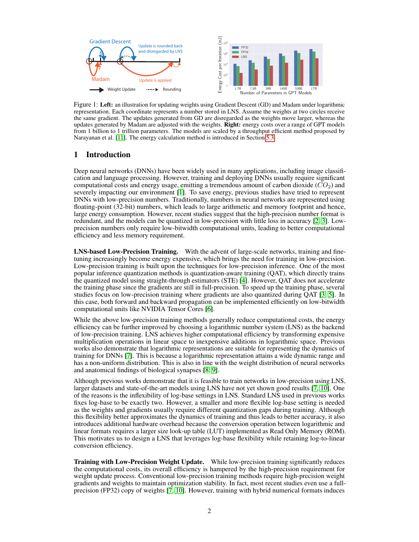

<span id="page-1-0"></span>Figure 1: Left: an illustration for updating weights using Gradient Descent (GD) and Madam under logarithmic representation. Each coordinate represents a number stored in LNS. Assume the weights at two circles receive the same gradient. The updates generated from GD are disregarded as the weights move larger, whereas the updates generated by Madam are adjusted with the weights. **Right:** energy costs over a range of GPT models from 1 billion to 1 trillion parameters. The models are scaled by a throughput efficient method proposed by Narayanan et al. [\[11\]](#page-10-0). The energy calculation method is introduced in Section [5.3.](#page-8-0)

# 1 Introduction

Deep neural networks (DNNs) have been widely used in many applications, including image classification and language processing. However, training and deploying DNNs usually require significant computational costs and energy usage, emitting a tremendous amount of carbon dioxide  $(CO<sub>2</sub>)$  and severely impacting our environment [\[1\]](#page-9-0). To save energy, previous studies have tried to represent DNNs with low-precision numbers. Traditionally, numbers in neural networks are represented using floating-point (32-bit) numbers, which leads to large arithmetic and memory footprint and hence, large energy consumption. However, recent studies suggest that the high-precision number format is redundant, and the models can be quantized in low-precision with little loss in accuracy [\[2,](#page-9-1) [3\]](#page-9-2). Lowprecision numbers only require low-bitwidth computational units, leading to better computational efficiency and less memory requirement.

LNS-based Low-Precision Training. With the advent of large-scale networks, training and finetuning increasingly become energy expensive, which brings the need for training in low-precision. Low-precision training is built upon the techniques for low-precision inference. One of the most popular inference quantization methods is quantization-aware training (QAT), which directly trains the quantized model using straight-through estimators (STE) [\[4\]](#page-9-3). However, QAT does not accelerate the training phase since the gradients are still in full-precision. To speed up the training phase, several studies focus on low-precision training where gradients are also quantized during QAT [\[3,](#page-9-2) [5\]](#page-9-4). In this case, both forward and backward propagation can be implemented efficiently on low-bitwidth computational units like NVIDIA Tensor Cores [\[6\]](#page-9-5).

While the above low-precision training methods generally reduce computational costs, the energy efficiency can be further improved by choosing a logarithmic number system (LNS) as the backend of low-precision training. LNS achieves higher computational efficiency by transforming expensive multiplication operations in linear space to inexpensive additions in logarithmic space. Previous works also demonstrate that logarithmic representations are suitable for representing the dynamics of training for DNNs [\[7\]](#page-9-6). This is because a logarithmic representation attains a wide dynamic range and has a non-uniform distribution. This is also in line with the weight distribution of neural networks and anatomical findings of biological synapses [\[8,](#page-9-7) [9\]](#page-9-8).

Although previous works demonstrate that it is feasible to train networks in low-precision using LNS, larger datasets and state-of-the-art models using LNS have not yet shown good results [\[7,](#page-9-6) [10\]](#page-9-9). One of the reasons is the inflexibility of log-base settings in LNS. Standard LNS used in previous works fixes log-base to be exactly two. However, a smaller and more flexible log-base setting is needed as the weights and gradients usually require different quantization gaps during training. Although this flexibility better approximates the dynamics of training and thus leads to better accuracy, it also introduces additional hardware overhead because the conversion operation between logarithmic and linear formats requires a larger size look-up table (LUT) implemented as Read Only Memory (ROM). This motivates us to design a LNS that leverages log-base flexibility while retaining log-to-linear conversion efficiency.

Training with Low-Precision Weight Update. While low-precision training significantly reduces the computational costs, its overall efficiency is hampered by the high-precision requirement for weight update process. Conventional low-precision training methods require high-precision weight gradients and weights to maintain optimization stability. In fact, most recent studies even use a fullprecision (FP32) copy of weights [\[7,](#page-9-6) [10\]](#page-9-9). However, training with hybrid numerical formats induces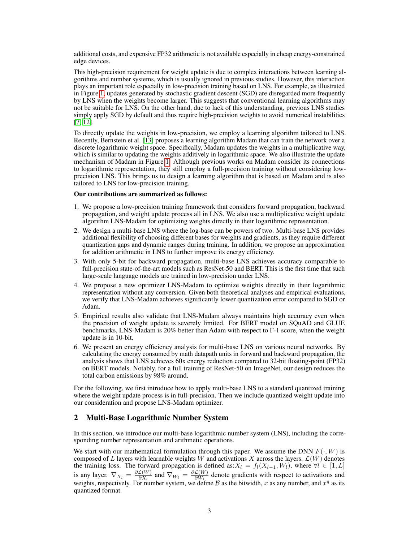additional costs, and expensive FP32 arithmetic is not available especially in cheap energy-constrained edge devices.

This high-precision requirement for weight update is due to complex interactions between learning algorithms and number systems, which is usually ignored in previous studies. However, this interaction plays an important role especially in low-precision training based on LNS. For example, as illustrated in Figure [1,](#page-1-0) updates generated by stochastic gradient descent (SGD) are disregarded more frequently by LNS when the weights become larger. This suggests that conventional learning algorithms may not be suitable for LNS. On the other hand, due to lack of this understanding, previous LNS studies simply apply SGD by default and thus require high-precision weights to avoid numerical instabilities [\[7,](#page-9-6) [12\]](#page-10-1).

To directly update the weights in low-precision, we employ a learning algorithm tailored to LNS. Recently, Bernstein et al. [\[13\]](#page-10-2) proposes a learning algorithm Madam that can train the network over a discrete logarithmic weight space. Specifically, Madam updates the weights in a multiplicative way, which is similar to updating the weights additively in logarithmic space. We also illustrate the update mechanism of Madam in Figure [1.](#page-1-0) Although previous works on Madam consider its connections to logarithmic representation, they still employ a full-precision training without considering lowprecision LNS. This brings us to design a learning algorithm that is based on Madam and is also tailored to LNS for low-precision training.

#### Our contributions are summarized as follows:

- 1. We propose a low-precision training framework that considers forward propagation, backward propagation, and weight update process all in LNS. We also use a multiplicative weight update algorithm LNS-Madam for optimizing weights directly in their logarithmic representation.
- 2. We design a multi-base LNS where the log-base can be powers of two. Multi-base LNS provides additional flexibility of choosing different bases for weights and gradients, as they require different quantization gaps and dynamic ranges during training. In addition, we propose an approximation for addition arithmetic in LNS to further improve its energy efficiency.
- 3. With only 5-bit for backward propagation, multi-base LNS achieves accuracy comparable to full-precision state-of-the-art models such as ResNet-50 and BERT. This is the first time that such large-scale language models are trained in low-precision under LNS.
- 4. We propose a new optimizer LNS-Madam to optimize weights directly in their logarithmic representation without any conversion. Given both theoretical analyses and empirical evaluations, we verify that LNS-Madam achieves significantly lower quantization error compared to SGD or Adam.
- 5. Empirical results also validate that LNS-Madam always maintains high accuracy even when the precision of weight update is severely limited. For BERT model on SQuAD and GLUE benchmarks, LNS-Madam is 20% better than Adam with respect to F-1 score, when the weight update is in 10-bit.
- 6. We present an energy efficiency analysis for multi-base LNS on various neural networks. By calculating the energy consumed by math datapath units in forward and backward propagation, the analysis shows that LNS achieves 60x energy reduction compared to 32-bit floating-point (FP32) on BERT models. Notably, for a full training of ResNet-50 on ImageNet, our design reduces the total carbon emissions by 98% around.

For the following, we first introduce how to apply multi-base LNS to a standard quantized training where the weight update process is in full-precision. Then we include quantized weight update into our consideration and propose LNS-Madam optimizer.

## 2 Multi-Base Logarithmic Number System

In this section, we introduce our multi-base logarithmic number system (LNS), including the corresponding number representation and arithmetic operations.

We start with our mathematical formulation through this paper. We assume the DNN  $F(\cdot, W)$  is composed of L layers with learnable weights W and activations X across the layers.  $\mathcal{L}(W)$  denotes the training loss. The forward propagation is defined as:  $X_l = f_l(X_{l-1}, W_l)$ , where  $\forall l \in [1, L]$ is any layer.  $\nabla_{X_l} = \frac{\partial \mathcal{L}(W)}{\partial X_l}$  $\frac{\mathcal{L}(W)}{\partial X_l}$  and  $\nabla_{W_l} = \frac{\partial \mathcal{L}(W)}{\partial W_l}$  $\frac{\mathcal{L}(W)}{\partial W_l}$  denote gradients with respect to activations and weights, respectively. For number system, we define B as the bitwidth, x as any number, and  $x^q$  as its quantized format.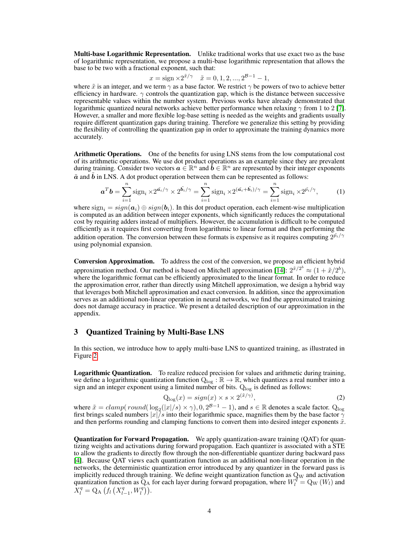**Multi-base Logarithmic Representation.** Unlike traditional works that use exact two as the base of logarithmic representation, we propose a multi-base logarithmic representation that allows the base to be two with a fractional exponent, such that:

$$
x = sign \times 2^{\tilde{x}/\gamma} \quad \tilde{x} = 0, 1, 2, ..., 2^{\tilde{\beta}-1} - 1,
$$

where  $\tilde{x}$  is an integer, and we term  $\gamma$  as a base factor. We restrict  $\gamma$  be powers of two to achieve better efficiency in hardware.  $\gamma$  controls the quantization gap, which is the distance between successive representable values within the number system. Previous works have already demonstrated that logarithmic quantized neural networks achieve better performance when relaxing  $\gamma$  from 1 to 2 [\[7\]](#page-9-6). However, a smaller and more flexible log-base setting is needed as the weights and gradients usually require different quantization gaps during training. Therefore we generalize this setting by providing the flexibility of controlling the quantization gap in order to approximate the training dynamics more accurately.

Arithmetic Operations. One of the benefits for using LNS stems from the low computational cost of its arithmetic operations. We use dot product operations as an example since they are prevalent during training. Consider two vectors  $a \in \mathbb{R}^n$  and  $b \in \mathbb{R}^n$  are represented by their integer exponents  $\tilde{a}$  and  $b$  in LNS. A dot product operation between them can be represented as follows:

$$
\boldsymbol{a}^T \boldsymbol{b} = \sum_{i=1}^n \text{sign}_i \times 2^{\tilde{a_i}/\gamma} \times 2^{\tilde{b_i}/\gamma} = \sum_{i=1}^n \text{sign}_i \times 2^{(\tilde{a_i} + \tilde{b_i})/\gamma} = \sum_{i=1}^n \text{sign}_i \times 2^{\tilde{p_i}/\gamma},\tag{1}
$$

where  $sign_i = sign(\mathbf{a}_i) \oplus sign(\mathbf{b}_i)$ . In this dot product operation, each element-wise multiplication is computed as an addition between integer exponents, which significantly reduces the computational cost by requiring adders instead of multipliers. However, the accumulation is difficult to be computed efficiently as it requires first converting from logarithmic to linear format and then performing the addition operation. The conversion between these formats is expensive as it requires computing  $2^{\tilde{p_i}/\gamma}$ using polynomial expansion.

Conversion Approximation. To address the cost of the conversion, we propose an efficient hybrid approximation method. Our method is based on Mitchell approximation [\[14\]](#page-10-3):  $2^{\tilde{x}/2^b} \approx (1 + \tilde{x}/2^b)$ , where the logarithmic format can be efficiently approximated to the linear format. In order to reduce the approximation error, rather than directly using Mitchell approximation, we design a hybrid way that leverages both Mitchell approximation and exact conversion. In addition, since the approximation serves as an additional non-linear operation in neural networks, we find the approximated training does not damage accuracy in practice. We present a detailed description of our approximation in the appendix.

## 3 Quantized Training by Multi-Base LNS

In this section, we introduce how to apply multi-base LNS to quantized training, as illustrated in Figure [2.](#page-4-0)

Logarithmic Quantization. To realize reduced precision for values and arithmetic during training, we define a logarithmic quantization function  $Q_{\text{log}} : \mathbb{R} \to \mathbb{R}$ , which quantizes a real number into a sign and an integer exponent using a limited number of bits.  $Q_{\text{log}}$  is defined as follows:

$$
Q_{\text{log}}(x) = sign(x) \times s \times 2^{(\tilde{x}/\gamma)},\tag{2}
$$

where  $\tilde{x} = clamp( round(\log_2(|x|/s) \times \gamma), 0, 2^{\beta-1} - 1)$ , and  $s \in \mathbb{R}$  denotes a scale factor. Qlog first brings scaled numbers  $|x|/s$  into their logarithmic space, magnifies them by the base factor  $\gamma$ and then performs rounding and clamping functions to convert them into desired integer exponents  $\tilde{x}$ .

Quantization for Forward Propagation. We apply quantization-aware training (QAT) for quantizing weights and activations during forward propagation. Each quantizer is associated with a STE to allow the gradients to directly flow through the non-differentiable quantizer during backward pass [\[4\]](#page-9-3). Because QAT views each quantization function as an additional non-linear operation in the networks, the deterministic quantization error introduced by any quantizer in the forward pass is implicitly reduced through training. We define weight quantization function as  $Q_W$  and activation quantization function as  $Q_A$  for each layer during forward propagation, where  $W_l^{\tilde{q}} = Q_W(W_l)$  and  $X_l^q = Q_A (f_l(X_{l-1}^q, W_l^q)).$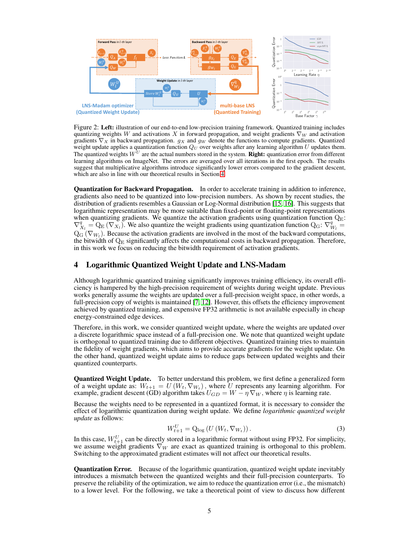

<span id="page-4-0"></span>Figure 2: Left: illustration of our end-to-end low-precision training framework. Quantized training includes quantizing weights W and activations X in forward propagation, and weight gradients  $\nabla_W$  and activation gradients  $\nabla_X$  in backward propagation.  $g_X$  and  $g_W$  denote the functions to compute gradients. Quantized weight update applies a quantization function  $Q_U$  over weights after any learning algorithm U updates them. The quantized weights  $W^U$  are the actual numbers stored in the system. Right: quantization error from different learning algorithms on ImageNet. The errors are averaged over all iterations in the first epoch. The results suggest that multiplicative algorithms introduce significantly lower errors compared to the gradient descent, which are also in line with our theoretical results in Section [4.](#page-4-1)

Quantization for Backward Propagation. In order to accelerate training in addition to inference, gradients also need to be quantized into low-precision numbers. As shown by recent studies, the distribution of gradients resembles a Gaussian or Log-Normal distribution [\[15,](#page-10-4) [16\]](#page-10-5). This suggests that logarithmic representation may be more suitable than fixed-point or floating-point representations when quantizing gradients. We quantize the activation gradients using quantization function  $Q_{E}$ :  $\nabla_{X_l}^q = Q_{\rm E} (\nabla_{X_l})$ . We also quantize the weight gradients using quantization function  $Q_{\rm G}$ :  $\nabla_{W_l}^q =$  $Q_G(\nabla_{W_l})$ . Because the activation gradients are involved in the most of the backward computations, the bitwidth of  $\mathbf{Q}_\text{E}$  significantly affects the computational costs in backward propagation. Therefore, in this work we focus on reducing the bitwidth requirement of activation gradients.

## <span id="page-4-1"></span>4 Logarithmic Quantized Weight Update and LNS-Madam

Although logarithmic quantized training significantly improves training efficiency, its overall efficiency is hampered by the high-precision requirement of weights during weight update. Previous works generally assume the weights are updated over a full-precision weight space, in other words, a full-precision copy of weights is maintained [\[7,](#page-9-6) [12\]](#page-10-1). However, this offsets the efficiency improvement achieved by quantized training, and expensive FP32 arithmetic is not available especially in cheap energy-constrained edge devices.

Therefore, in this work, we consider quantized weight update, where the weights are updated over a discrete logarithmic space instead of a full-precision one. We note that quantized weight update is orthogonal to quantized training due to different objectives. Quantized training tries to maintain the fidelity of weight gradients, which aims to provide accurate gradients for the weight update. On the other hand, quantized weight update aims to reduce gaps between updated weights and their quantized counterparts.

**Quantized Weight Update.** To better understand this problem, we first define a generalized form of a weight update as:  $W_{t+1} = U(W_t, \nabla_{W_t})$ , where U represents any learning algorithm. For example, gradient descent (GD) algorithm takes  $U_{GD} = W - \eta \nabla_W$ , where  $\eta$  is learning rate.

Because the weights need to be represented in a quantized format, it is necessary to consider the effect of logarithmic quantization during weight update. We define *logarithmic quantized weight update* as follows:

$$
W_{t+1}^U = Q_{\log}(U(W_t, \nabla_{W_t})).
$$
\n(3)

In this case,  $W_{t+1}^U$  can be directly stored in a logarithmic format without using FP32. For simplicity, we assume weight gradients  $\nabla_W$  are exact as quantized training is orthogonal to this problem. Switching to the approximated gradient estimates will not affect our theoretical results.

**Quantization Error.** Because of the logarithmic quantization, quantized weight update inevitably introduces a mismatch between the quantized weights and their full-precision counterparts. To preserve the reliability of the optimization, we aim to reduce the quantization error (i.e., the mismatch) to a lower level. For the following, we take a theoretical point of view to discuss how different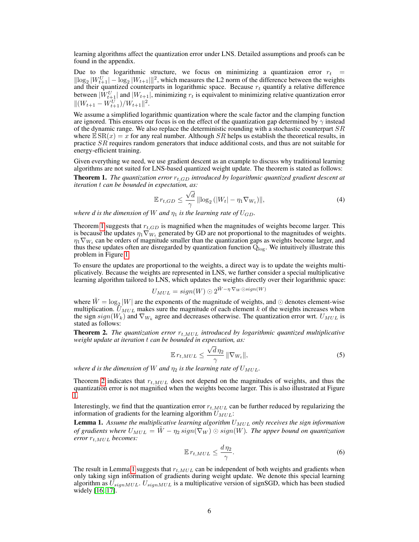learning algorithms affect the quantization error under LNS. Detailed assumptions and proofs can be found in the appendix.

Due to the logarithmic structure, we focus on minimizing a quantizaion error  $r_t$  =  $\|\log_2|W_{t+1}^U| - \log_2|W_{t+1}|\|^2$ , which measures the L2 norm of the difference between the weights and their quantized counterparts in logarithmic space. Because  $r_t$  quantify a relative difference between  $|W_{t+1}^U|$  and  $|W_{t+1}|$ , minimizing  $r_t$  is equivalent to minimizing relative quantization error  $||(W_{t+1} - W_{t+1}^U)/W_{t+1}||^2.$ 

We assume a simplified logarithmic quantization where the scale factor and the clamping function are ignored. This ensures our focus is on the effect of the quantization gap determined by  $\gamma$  instead of the dynamic range. We also replace the deterministic rounding with a stochastic counterpart  $SR$ where  $\mathbb{E} \, \text{SR}(x) = x$  for any real number. Although SR helps us establish the theoretical results, in practice SR requires random generators that induce additional costs, and thus are not suitable for energy-efficient training.

Given everything we need, we use gradient descent as an example to discuss why traditional learning algorithms are not suited for LNS-based quantized weight update. The theorem is stated as follows:

<span id="page-5-0"></span>**Theorem 1.** *The quantization error*  $r_{t,GD}$  *introduced by logarithmic quantized gradient descent at iteration* t *can be bounded in expectation, as:*

$$
\mathbb{E} \, r_{t, GD} \le \frac{\sqrt{d}}{\gamma} \left\| \log_2 \left( |W_t| - \eta_1 \nabla_{W_t} \right) \right\|, \tag{4}
$$

*where d is the dimension of* W *and*  $\eta_1$  *is the learning rate of*  $U_{GD}$ *.* 

Theorem [1](#page-5-0) suggests that  $r_{t,GD}$  is magnified when the magnitudes of weights become larger. This is because the updates  $\eta_1 \nabla_{W_t}$  generated by GD are not proportional to the magnitudes of weights.  $\eta_1 \nabla_{W_t}$  can be orders of magnitude smaller than the quantization gaps as weights become larger, and thus these updates often are disregarded by quantization function  $Q_{\text{log}}$ . We intuitively illustrate this problem in Figure [1.](#page-1-0)

To ensure the updates are proportional to the weights, a direct way is to update the weights multiplicatively. Because the weights are represented in LNS, we further consider a special multiplicative learning algorithm tailored to LNS, which updates the weights directly over their logarithmic space:

$$
U_{MUL} = sign(W) \odot 2^{\tilde{W}-\eta \nabla_W \odot sign(W)}
$$

where  $\tilde{W} = \log_2 |W|$  are the exponents of the magnitude of weights, and  $\odot$  denotes element-wise multiplication.  $\bar{U}_{MUL}$  makes sure the magnitude of each element k of the weights increases when the sign  $sign(W_k)$  and  $\nabla_{W_k}$  agree and decreases otherwise. The quantization error wrt.  $U_{MUL}$  is stated as follows:

<span id="page-5-1"></span>**Theorem 2.** *The quantization error*  $r_{t,MUL}$  *introduced by logarithmic quantized multiplicative weight update at iteration* t *can be bounded in expectation, as:*

$$
\mathbb{E}\,r_{t,MUL} \leq \frac{\sqrt{d}\,\eta_2}{\gamma}\,\|\nabla_{W_t}\|,\tag{5}
$$

*where d is the dimension of* W *and*  $\eta_2$  *is the learning rate of*  $U_{MUL}$ *.* 

Theorem [2](#page-5-1) indicates that  $r_{t,MUL}$  does not depend on the magnitudes of weights, and thus the quantization error is not magnified when the weights become larger. This is also illustrated at Figure [1.](#page-1-0)

Interestingly, we find that the quantization error  $r_{t,MUL}$  can be further reduced by regularizing the information of gradients for the learning algorithm  $U_{MUL}$ :

<span id="page-5-2"></span>**Lemma 1.** Assume the multiplicative learning algorithm  $U_{MUL}$  only receives the sign information *of gradients where*  $U_{MUL} = \tilde{W} - \eta_2 sign(\nabla_W) \odot sign(W)$ . The upper bound on quantization *error* rt,MUL *becomes:*

$$
\mathbb{E}\,r_{t,MUL} \leq \frac{d\,\eta_2}{\gamma}.\tag{6}
$$

The result in Lemma [1](#page-5-2) suggests that  $r_{t,MUL}$  can be independent of both weights and gradients when only taking sign information of gradients during weight update. We denote this special learning algorithm as  $U_{signMUL}$ .  $U_{signMUL}$  is a multiplicative version of signSGD, which has been studied widely [\[16,](#page-10-5) [17\]](#page-10-6).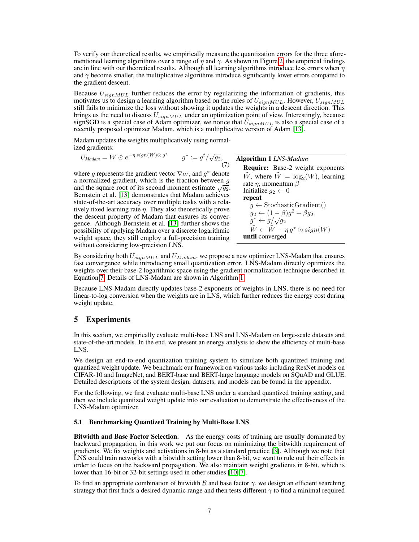To verify our theoretical results, we empirically measure the quantization errors for the three aforementioned learning algorithms over a range of  $\eta$  and  $\gamma$ . As shown in Figure [2,](#page-4-0) the empirical findings are in line with our theoretical results. Although all learning algorithms introduce less errors when  $\eta$ and  $\gamma$  become smaller, the multiplicative algorithms introduce significantly lower errors compared to the gradient descent.

Because  $U_{signMUL}$  further reduces the error by regularizing the information of gradients, this motivates us to design a learning algorithm based on the rules of  $U_{sionMUL}$ . However,  $U_{signMUL}$ still fails to minimize the loss without showing it updates the weights in a descent direction. This brings us the need to discuss  $U_{signMUL}$  under an optimization point of view. Interestingly, because signSGD is a special case of Adam optimizer, we notice that  $\bar{U}_{sionMUL}$  is also a special case of a recently proposed optimizer Madam, which is a multiplicative version of Adam [\[13\]](#page-10-2).

Madam updates the weights multiplicatively using normalized gradients:

$$
U_{\text{Madam}} = W \odot e^{-\eta \operatorname{sign}(W) \odot g^*} \qquad g^* := g^t / \sqrt{g_2}, \tag{7}
$$

where g represents the gradient vector  $\nabla_W$ , and  $g^*$  denote a normalized gradient, which is the fraction between  $g$ and the square root of its second moment estimate  $\sqrt{g_2}$ . Bernstein et al. [\[13\]](#page-10-2) demonstrates that Madam achieves state-of-the-art accuracy over multiple tasks with a relatively fixed learning rate  $\eta$ . They also theoretically prove the descent property of Madam that ensures its convergence. Although Bernstein et al. [\[13\]](#page-10-2) further shows the possibility of applying Madam over a discrete logarithmic weight space, they still employ a full-precision training without considering low-precision LNS.

<span id="page-6-1"></span><span id="page-6-0"></span>

| <b>Algorithm 1 LNS-Madam</b>                           |
|--------------------------------------------------------|
| <b>Require:</b> Base-2 weight exponents                |
| $\tilde{W}$ , where $\tilde{W} = \log_2(W)$ , learning |
| rate $\eta$ , momentum $\beta$                         |
| Initialize $g_2 \leftarrow 0$                          |
| repeat                                                 |
| $g \leftarrow$ StochasticGradient()                    |
| $g_2 \leftarrow (1 - \beta)g^2 + \beta g_2$            |
| $g^* \leftarrow g/\sqrt{g_2}$                          |
| $W \leftarrow W - \eta g^* \odot sign(W)$              |
| until converged                                        |

By considering both  $U_{signMUL}$  and  $U_{Madam}$ , we propose a new optimizer LNS-Madam that ensures fast convergence while introducing small quantization error. LNS-Madam directly optimizes the weights over their base-2 logarithmic space using the gradient normalization technique described in Equation [7.](#page-6-0) Details of LNS-Madam are shown in Algorithm [1.](#page-6-1)

Because LNS-Madam directly updates base-2 exponents of weights in LNS, there is no need for linear-to-log conversion when the weights are in LNS, which further reduces the energy cost during weight update.

## 5 Experiments

In this section, we empirically evaluate multi-base LNS and LNS-Madam on large-scale datasets and state-of-the-art models. In the end, we present an energy analysis to show the efficiency of multi-base LNS.

We design an end-to-end quantization training system to simulate both quantized training and quantized weight update. We benchmark our framework on various tasks including ResNet models on CIFAR-10 and ImageNet, and BERT-base and BERT-large language models on SQuAD and GLUE. Detailed descriptions of the system design, datasets, and models can be found in the appendix.

For the following, we first evaluate multi-base LNS under a standard quantized training setting, and then we include quantized weight update into our evaluation to demonstrate the effectiveness of the LNS-Madam optimizer.

#### 5.1 Benchmarking Quantized Training by Multi-Base LNS

Bitwidth and Base Factor Selection. As the energy costs of training are usually dominated by backward propagation, in this work we put our focus on minimizing the bitwidth requirement of gradients. We fix weights and activations in 8-bit as a standard practice [\[3\]](#page-9-2). Although we note that LNS could train networks with a bitwidth setting lower than 8-bit, we want to rule out their effects in order to focus on the backward propagation. We also maintain weight gradients in 8-bit, which is lower than 16-bit or 32-bit settings used in other studies [\[10,](#page-9-9) [7\]](#page-9-6).

To find an appropriate combination of bitwidth B and base factor  $\gamma$ , we design an efficient searching strategy that first finds a desired dynamic range and then tests different  $\gamma$  to find a minimal required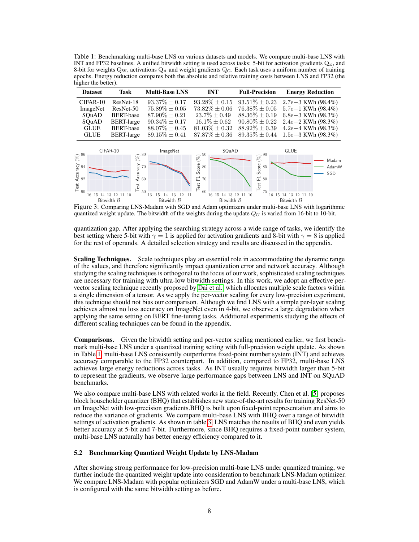<span id="page-7-0"></span>Table 1: Benchmarking multi-base LNS on various datasets and models. We compare multi-base LNS with INT and FP32 baselines. A unified bitwidth setting is used across tasks: 5-bit for activation gradients  $Q_{\rm E}$ , and 8-bit for weights  $Q_W$ , activations  $Q_A$  and weight gradients  $Q_G$ . Each task uses a uniform number of training epochs. Energy reduction compares both the absolute and relative training costs between LNS and FP32 (the higher the better).



<span id="page-7-1"></span>Figure 3: Comparing LNS-Madam with SGD and Adam optimizers under multi-base LNS with logarithmic quantized weight update. The bitwidth of the weights during the update  $Q_U$  is varied from 16-bit to 10-bit.

quantization gap. After applying the searching strategy across a wide range of tasks, we identify the best setting where 5-bit with  $\gamma = 1$  is applied for activation gradients and 8-bit with  $\gamma = 8$  is applied for the rest of operands. A detailed selection strategy and results are discussed in the appendix.

Scaling Techniques. Scale techniques play an essential role in accommodating the dynamic range of the values, and therefore significantly impact quantization error and network accuracy. Although studying the scaling techniques is orthogonal to the focus of our work, sophisticated scaling techniques are necessary for training with ultra-low bitwidth settings. In this work, we adopt an effective pervector scaling technique recently proposed by [Dai et al.,](#page-10-7) which allocates multiple scale factors within a single dimension of a tensor. As we apply the per-vector scaling for every low-precision experiment, this technique should not bias our comparison. Although we find LNS with a simple per-layer scaling achieves almost no loss accuracy on ImageNet even in 4-bit, we observe a large degradation when applying the same setting on BERT fine-tuning tasks. Additional experiments studying the effects of different scaling techniques can be found in the appendix.

Comparisons. Given the bitwidth setting and per-vector scaling mentioned earlier, we first benchmark multi-base LNS under a quantized training setting with full-precision weight update. As shown in Table [1,](#page-7-0) multi-base LNS consistently outperforms fixed-point number system (INT) and achieves accuracy comparable to the FP32 counterpart. In addition, compared to FP32, multi-base LNS achieves large energy reductions across tasks. As INT usually requires bitwidth larger than 5-bit to represent the gradients, we observe large performance gaps between LNS and INT on SQuAD benchmarks.

We also compare multi-base LNS with related works in the field. Recently, Chen et al. [\[5\]](#page-9-4) proposes block householder quantizer (BHQ) that establishes new state-of-the-art results for training ResNet-50 on ImageNet with low-precision gradients.BHQ is built upon fixed-point representation and aims to reduce the variance of gradients. We compare multi-base LNS with BHQ over a range of bitwidth settings of activation gradients. As shown in table [3,](#page-8-1) LNS matches the results of BHQ and even yields better accuracy at 5-bit and 7-bit. Furthermore, since BHQ requires a fixed-point number system, multi-base LNS naturally has better energy efficiency compared to it.

#### 5.2 Benchmarking Quantized Weight Update by LNS-Madam

After showing strong performance for low-precision multi-base LNS under quantized training, we further include the quantized weight update into consideration to benchmark LNS-Madam optimizer. We compare LNS-Madam with popular optimizers SGD and AdamW under a multi-base LNS, which is configured with the same bitwidth setting as before.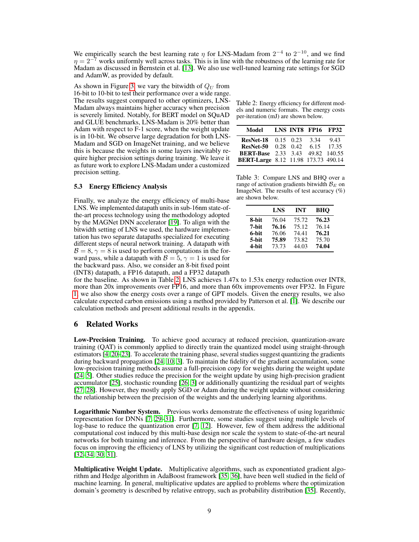We empirically search the best learning rate  $\eta$  for LNS-Madam from  $2^{-4}$  to  $2^{-10}$ , and we find  $\eta = 2^{-7}$  works uniformly well across tasks. This is in line with the robustness of the learning rate for Madam as discussed in Bernstein et al. [\[13\]](#page-10-2). We also use well-tuned learning rate settings for SGD and AdamW, as provided by default.

As shown in Figure [3,](#page-7-1) we vary the bitwidth of  $Q_U$  from 16-bit to 10-bit to test their performance over a wide range. The results suggest compared to other optimizers, LNS-Madam always maintains higher accuracy when precision is severely limited. Notably, for BERT model on SQuAD and GLUE benchmarks, LNS-Madam is 20% better than Adam with respect to F-1 score, when the weight update is in 10-bit. We observe large degradation for both LNS-Madam and SGD on ImageNet training, and we believe this is because the weights in some layers inevitably require higher precision settings during training. We leave it as future work to explore LNS-Madam under a customized precision setting.

## <span id="page-8-0"></span>5.3 Energy Efficiency Analysis

Finally, we analyze the energy efficiency of multi-base LNS. We implemented datapath units in sub-16nm state-ofthe-art process technology using the methodology adopted by the MAGNet DNN accelerator [\[19\]](#page-10-8). To align with the bitwidth setting of LNS we used, the hardware implementation has two separate datapaths specialized for executing different steps of neural network training. A datapath with  $\mathcal{B} = 8$ ,  $\gamma = 8$  is used to perform computations in the forward pass, while a datapath with  $\mathcal{B} = 5$ ,  $\gamma = 1$  is used for the backward pass. Also, we consider an 8-bit fixed point (INT8) datapath, a FP16 datapath, and a FP32 datapath

<span id="page-8-2"></span>Table 2: Energy efficiency for different models and numeric formats. The energy costs per-iteration (mJ) are shown below.

| Model                                         |  | LNS INT8 FP16 FP32 |      |
|-----------------------------------------------|--|--------------------|------|
| <b>ResNet-18</b> 0.15 0.23 3.34               |  |                    | 9.43 |
| <b>ResNet-50</b> $0.28$ $0.42$ $6.15$ $17.35$ |  |                    |      |
| <b>BERT-Base</b> 2.33 3.43 49.82 140.55       |  |                    |      |
| BERT-Large 8.12 11.98 173.73 490.14           |  |                    |      |

<span id="page-8-1"></span>Table 3: Compare LNS and BHQ over a range of activation gradients bitwidth  $\mathcal{B}_E$  on ImageNet. The results of test accuracy (%) are shown below.

|       | <b>LNS</b> | <b>INT</b> | <b>BHO</b> |
|-------|------------|------------|------------|
| 8-bit | 76.04      | 75.72      | 76.23      |
| 7-bit | 76.16      | 75.12      | 76.14      |
| 6-bit | 76.06      | 74.41      | 76.21      |
| 5-bit | 75.89      | 73.82      | 75.70      |
| 4-bit | 73.73      | 44.03      | 74.04      |

for the baseline. As shown in Table [2,](#page-8-2) LNS achieves 1.47x to 1.53x energy reduction over INT8, more than 20x improvements over FP16, and more than 60x improvements over FP32. In Figure [1,](#page-1-0) we also show the energy costs over a range of GPT models. Given the energy results, we also calculate expected carbon emissions using a method provided by Patterson et al. [\[1\]](#page-9-0). We describe our calculation methods and present additional results in the appendix.

## 6 Related Works

Low-Precision Training. To achieve good accuracy at reduced precision, quantization-aware training (QAT) is commonly applied to directly train the quantized model using straight-through estimators [\[4,](#page-9-3) [20](#page-10-9)[–23\]](#page-10-10). To accelerate the training phase, several studies suggest quantizing the gradients during backward propagation [\[24,](#page-10-11) [10,](#page-9-9) [3\]](#page-9-2). To maintain the fidelity of the gradient accumulation, some low-precision training methods assume a full-precision copy for weights during the weight update [\[24,](#page-10-11) [5\]](#page-9-4). Other studies reduce the precision for the weight update by using high-precision gradient accumulator [\[25\]](#page-10-12), stochastic rounding [\[26,](#page-11-0) [3\]](#page-9-2) or additionally quantizing the residual part of weights [\[27,](#page-11-1) [28\]](#page-11-2). However, they mostly apply SGD or Adam during the weight update without considering the relationship between the precision of the weights and the underlying learning algorithms.

Logarithmic Number System. Previous works demonstrate the effectiveness of using logarithmic representation for DNNs [\[7,](#page-9-6) [29](#page-11-3)[–31\]](#page-11-4). Furthermore, some studies suggest using multiple levels of log-base to reduce the quantization error [\[7,](#page-9-6) [12\]](#page-10-1). However, few of them address the additional computational cost induced by this multi-base design nor scale the system to state-of-the-art neural networks for both training and inference. From the perspective of hardware design, a few studies focus on improving the efficiency of LNS by utilizing the significant cost reduction of multiplications [\[32](#page-11-5)[–34,](#page-11-6) [30,](#page-11-7) [31\]](#page-11-4).

**Multiplicative Weight Update.** Multiplicative algorithms, such as exponentiated gradient algorithm and Hedge algorithm in AdaBoost framework [\[35,](#page-11-8) [36\]](#page-11-9), have been well studied in the field of machine learning. In general, multiplicative updates are applied to problems where the optimization domain's geometry is described by relative entropy, such as probability distribution [\[35\]](#page-11-8). Recently,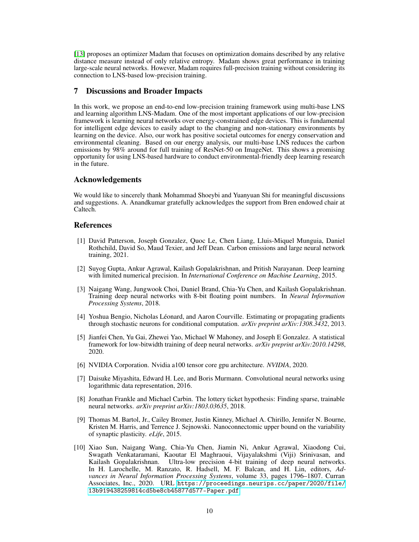[\[13\]](#page-10-2) proposes an optimizer Madam that focuses on optimization domains described by any relative distance measure instead of only relative entropy. Madam shows great performance in training large-scale neural networks. However, Madam requires full-precision training without considering its connection to LNS-based low-precision training.

## 7 Discussions and Broader Impacts

In this work, we propose an end-to-end low-precision training framework using multi-base LNS and learning algorithm LNS-Madam. One of the most important applications of our low-precision framework is learning neural networks over energy-constrained edge devices. This is fundamental for intelligent edge devices to easily adapt to the changing and non-stationary environments by learning on the device. Also, our work has positive societal outcomes for energy conservation and environmental cleaning. Based on our energy analysis, our multi-base LNS reduces the carbon emissions by 98% around for full training of ResNet-50 on ImageNet. This shows a promising opportunity for using LNS-based hardware to conduct environmental-friendly deep learning research in the future.

## Acknowledgements

We would like to sincerely thank Mohammad Shoeybi and Yuanyuan Shi for meaningful discussions and suggestions. A. Anandkumar gratefully acknowledges the support from Bren endowed chair at Caltech.

## References

- <span id="page-9-0"></span>[1] David Patterson, Joseph Gonzalez, Quoc Le, Chen Liang, Lluis-Miquel Munguia, Daniel Rothchild, David So, Maud Texier, and Jeff Dean. Carbon emissions and large neural network training, 2021.
- <span id="page-9-1"></span>[2] Suyog Gupta, Ankur Agrawal, Kailash Gopalakrishnan, and Pritish Narayanan. Deep learning with limited numerical precision. In *International Conference on Machine Learning*, 2015.
- <span id="page-9-2"></span>[3] Naigang Wang, Jungwook Choi, Daniel Brand, Chia-Yu Chen, and Kailash Gopalakrishnan. Training deep neural networks with 8-bit floating point numbers. In *Neural Information Processing Systems*, 2018.
- <span id="page-9-3"></span>[4] Yoshua Bengio, Nicholas Léonard, and Aaron Courville. Estimating or propagating gradients through stochastic neurons for conditional computation. *arXiv preprint arXiv:1308.3432*, 2013.
- <span id="page-9-4"></span>[5] Jianfei Chen, Yu Gai, Zhewei Yao, Michael W Mahoney, and Joseph E Gonzalez. A statistical framework for low-bitwidth training of deep neural networks. *arXiv preprint arXiv:2010.14298*, 2020.
- <span id="page-9-5"></span>[6] NVIDIA Corporation. Nvidia a100 tensor core gpu architecture. *NVIDIA*, 2020.
- <span id="page-9-6"></span>[7] Daisuke Miyashita, Edward H. Lee, and Boris Murmann. Convolutional neural networks using logarithmic data representation, 2016.
- <span id="page-9-7"></span>[8] Jonathan Frankle and Michael Carbin. The lottery ticket hypothesis: Finding sparse, trainable neural networks. *arXiv preprint arXiv:1803.03635*, 2018.
- <span id="page-9-8"></span>[9] Thomas M. Bartol, Jr., Cailey Bromer, Justin Kinney, Michael A. Chirillo, Jennifer N. Bourne, Kristen M. Harris, and Terrence J. Sejnowski. Nanoconnectomic upper bound on the variability of synaptic plasticity. *eLife*, 2015.
- <span id="page-9-9"></span>[10] Xiao Sun, Naigang Wang, Chia-Yu Chen, Jiamin Ni, Ankur Agrawal, Xiaodong Cui, Swagath Venkataramani, Kaoutar El Maghraoui, Vijayalakshmi (Viji) Srinivasan, and Kailash Gopalakrishnan. Ultra-low precision 4-bit training of deep neural networks. In H. Larochelle, M. Ranzato, R. Hadsell, M. F. Balcan, and H. Lin, editors, *Advances in Neural Information Processing Systems*, volume 33, pages 1796–1807. Curran Associates, Inc., 2020. URL [https://proceedings.neurips.cc/paper/2020/file/](https://proceedings.neurips.cc/paper/2020/file/13b919438259814cd5be8cb45877d577-Paper.pdf) [13b919438259814cd5be8cb45877d577-Paper.pdf](https://proceedings.neurips.cc/paper/2020/file/13b919438259814cd5be8cb45877d577-Paper.pdf).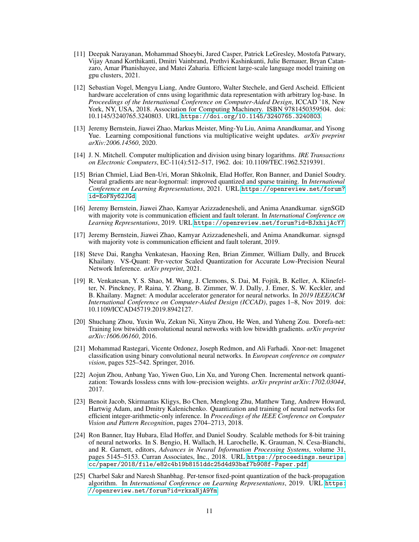- <span id="page-10-0"></span>[11] Deepak Narayanan, Mohammad Shoeybi, Jared Casper, Patrick LeGresley, Mostofa Patwary, Vijay Anand Korthikanti, Dmitri Vainbrand, Prethvi Kashinkunti, Julie Bernauer, Bryan Catanzaro, Amar Phanishayee, and Matei Zaharia. Efficient large-scale language model training on gpu clusters, 2021.
- <span id="page-10-1"></span>[12] Sebastian Vogel, Mengyu Liang, Andre Guntoro, Walter Stechele, and Gerd Ascheid. Efficient hardware acceleration of cnns using logarithmic data representation with arbitrary log-base. In *Proceedings of the International Conference on Computer-Aided Design*, ICCAD '18, New York, NY, USA, 2018. Association for Computing Machinery. ISBN 9781450359504. doi: 10.1145/3240765.3240803. URL <https://doi.org/10.1145/3240765.3240803>.
- <span id="page-10-2"></span>[13] Jeremy Bernstein, Jiawei Zhao, Markus Meister, Ming-Yu Liu, Anima Anandkumar, and Yisong Yue. Learning compositional functions via multiplicative weight updates. *arXiv preprint arXiv:2006.14560*, 2020.
- <span id="page-10-3"></span>[14] J. N. Mitchell. Computer multiplication and division using binary logarithms. *IRE Transactions on Electronic Computers*, EC-11(4):512–517, 1962. doi: 10.1109/TEC.1962.5219391.
- <span id="page-10-4"></span>[15] Brian Chmiel, Liad Ben-Uri, Moran Shkolnik, Elad Hoffer, Ron Banner, and Daniel Soudry. Neural gradients are near-lognormal: improved quantized and sparse training. In *International Conference on Learning Representations*, 2021. URL [https://openreview.net/forum?](https://openreview.net/forum?id=EoFNy62JGd) [id=EoFNy62JGd](https://openreview.net/forum?id=EoFNy62JGd).
- <span id="page-10-5"></span>[16] Jeremy Bernstein, Jiawei Zhao, Kamyar Azizzadenesheli, and Anima Anandkumar. signSGD with majority vote is communication efficient and fault tolerant. In *International Conference on Learning Representations*, 2019. URL <https://openreview.net/forum?id=BJxhijAcY7>.
- <span id="page-10-6"></span>[17] Jeremy Bernstein, Jiawei Zhao, Kamyar Azizzadenesheli, and Anima Anandkumar. signsgd with majority vote is communication efficient and fault tolerant, 2019.
- <span id="page-10-7"></span>[18] Steve Dai, Rangha Venkatesan, Haoxing Ren, Brian Zimmer, William Dally, and Brucek Khailany. VS-Quant: Per-vector Scaled Quantization for Accurate Low-Precision Neural Network Inference. *arXiv preprint*, 2021.
- <span id="page-10-8"></span>[19] R. Venkatesan, Y. S. Shao, M. Wang, J. Clemons, S. Dai, M. Fojtik, B. Keller, A. Klinefelter, N. Pinckney, P. Raina, Y. Zhang, B. Zimmer, W. J. Dally, J. Emer, S. W. Keckler, and B. Khailany. Magnet: A modular accelerator generator for neural networks. In *2019 IEEE/ACM International Conference on Computer-Aided Design (ICCAD)*, pages 1–8, Nov 2019. doi: 10.1109/ICCAD45719.2019.8942127.
- <span id="page-10-9"></span>[20] Shuchang Zhou, Yuxin Wu, Zekun Ni, Xinyu Zhou, He Wen, and Yuheng Zou. Dorefa-net: Training low bitwidth convolutional neural networks with low bitwidth gradients. *arXiv preprint arXiv:1606.06160*, 2016.
- [21] Mohammad Rastegari, Vicente Ordonez, Joseph Redmon, and Ali Farhadi. Xnor-net: Imagenet classification using binary convolutional neural networks. In *European conference on computer vision*, pages 525–542. Springer, 2016.
- [22] Aojun Zhou, Anbang Yao, Yiwen Guo, Lin Xu, and Yurong Chen. Incremental network quantization: Towards lossless cnns with low-precision weights. *arXiv preprint arXiv:1702.03044*, 2017.
- <span id="page-10-10"></span>[23] Benoit Jacob, Skirmantas Kligys, Bo Chen, Menglong Zhu, Matthew Tang, Andrew Howard, Hartwig Adam, and Dmitry Kalenichenko. Quantization and training of neural networks for efficient integer-arithmetic-only inference. In *Proceedings of the IEEE Conference on Computer Vision and Pattern Recognition*, pages 2704–2713, 2018.
- <span id="page-10-11"></span>[24] Ron Banner, Itay Hubara, Elad Hoffer, and Daniel Soudry. Scalable methods for 8-bit training of neural networks. In S. Bengio, H. Wallach, H. Larochelle, K. Grauman, N. Cesa-Bianchi, and R. Garnett, editors, *Advances in Neural Information Processing Systems*, volume 31, pages 5145–5153. Curran Associates, Inc., 2018. URL [https://proceedings.neurips.](https://proceedings.neurips.cc/paper/2018/file/e82c4b19b8151ddc25d4d93baf7b908f-Paper.pdf) [cc/paper/2018/file/e82c4b19b8151ddc25d4d93baf7b908f-Paper.pdf](https://proceedings.neurips.cc/paper/2018/file/e82c4b19b8151ddc25d4d93baf7b908f-Paper.pdf).
- <span id="page-10-12"></span>[25] Charbel Sakr and Naresh Shanbhag. Per-tensor fixed-point quantization of the back-propagation algorithm. In *International Conference on Learning Representations*, 2019. URL [https:](https://openreview.net/forum?id=rkxaNjA9Ym) [//openreview.net/forum?id=rkxaNjA9Ym](https://openreview.net/forum?id=rkxaNjA9Ym).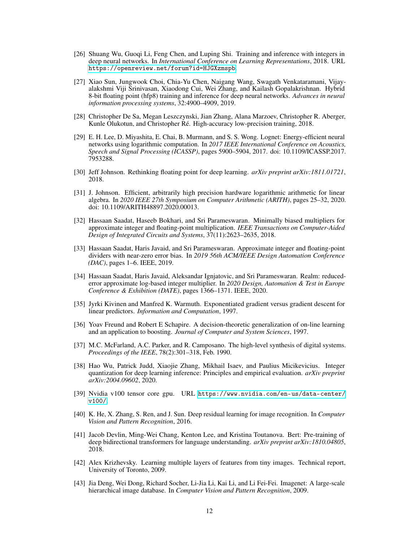- <span id="page-11-0"></span>[26] Shuang Wu, Guoqi Li, Feng Chen, and Luping Shi. Training and inference with integers in deep neural networks. In *International Conference on Learning Representations*, 2018. URL <https://openreview.net/forum?id=HJGXzmspb>.
- <span id="page-11-1"></span>[27] Xiao Sun, Jungwook Choi, Chia-Yu Chen, Naigang Wang, Swagath Venkataramani, Vijayalakshmi Viji Srinivasan, Xiaodong Cui, Wei Zhang, and Kailash Gopalakrishnan. Hybrid 8-bit floating point (hfp8) training and inference for deep neural networks. *Advances in neural information processing systems*, 32:4900–4909, 2019.
- <span id="page-11-2"></span>[28] Christopher De Sa, Megan Leszczynski, Jian Zhang, Alana Marzoev, Christopher R. Aberger, Kunle Olukotun, and Christopher Ré. High-accuracy low-precision training, 2018.
- <span id="page-11-3"></span>[29] E. H. Lee, D. Miyashita, E. Chai, B. Murmann, and S. S. Wong. Lognet: Energy-efficient neural networks using logarithmic computation. In *2017 IEEE International Conference on Acoustics, Speech and Signal Processing (ICASSP)*, pages 5900–5904, 2017. doi: 10.1109/ICASSP.2017. 7953288.
- <span id="page-11-7"></span>[30] Jeff Johnson. Rethinking floating point for deep learning. *arXiv preprint arXiv:1811.01721*, 2018.
- <span id="page-11-4"></span>[31] J. Johnson. Efficient, arbitrarily high precision hardware logarithmic arithmetic for linear algebra. In *2020 IEEE 27th Symposium on Computer Arithmetic (ARITH)*, pages 25–32, 2020. doi: 10.1109/ARITH48897.2020.00013.
- <span id="page-11-5"></span>[32] Hassaan Saadat, Haseeb Bokhari, and Sri Parameswaran. Minimally biased multipliers for approximate integer and floating-point multiplication. *IEEE Transactions on Computer-Aided Design of Integrated Circuits and Systems*, 37(11):2623–2635, 2018.
- [33] Hassaan Saadat, Haris Javaid, and Sri Parameswaran. Approximate integer and floating-point dividers with near-zero error bias. In *2019 56th ACM/IEEE Design Automation Conference (DAC)*, pages 1–6. IEEE, 2019.
- <span id="page-11-6"></span>[34] Hassaan Saadat, Haris Javaid, Aleksandar Ignjatovic, and Sri Parameswaran. Realm: reducederror approximate log-based integer multiplier. In *2020 Design, Automation & Test in Europe Conference & Exhibition (DATE)*, pages 1366–1371. IEEE, 2020.
- <span id="page-11-8"></span>[35] Jyrki Kivinen and Manfred K. Warmuth. Exponentiated gradient versus gradient descent for linear predictors. *Information and Computation*, 1997.
- <span id="page-11-9"></span>[36] Yoav Freund and Robert E Schapire. A decision-theoretic generalization of on-line learning and an application to boosting. *Journal of Computer and System Sciences*, 1997.
- <span id="page-11-10"></span>[37] M.C. McFarland, A.C. Parker, and R. Camposano. The high-level synthesis of digital systems. *Proceedings of the IEEE*, 78(2):301–318, Feb. 1990.
- <span id="page-11-11"></span>[38] Hao Wu, Patrick Judd, Xiaojie Zhang, Mikhail Isaev, and Paulius Micikevicius. Integer quantization for deep learning inference: Principles and empirical evaluation. *arXiv preprint arXiv:2004.09602*, 2020.
- <span id="page-11-12"></span>[39] Nvidia v100 tensor core gpu. URL [https://www.nvidia.com/en-us/data-center/](https://www.nvidia.com/en-us/data-center/v100/) [v100/](https://www.nvidia.com/en-us/data-center/v100/).
- <span id="page-11-13"></span>[40] K. He, X. Zhang, S. Ren, and J. Sun. Deep residual learning for image recognition. In *Computer Vision and Pattern Recognition*, 2016.
- <span id="page-11-14"></span>[41] Jacob Devlin, Ming-Wei Chang, Kenton Lee, and Kristina Toutanova. Bert: Pre-training of deep bidirectional transformers for language understanding. *arXiv preprint arXiv:1810.04805*, 2018.
- <span id="page-11-15"></span>[42] Alex Krizhevsky. Learning multiple layers of features from tiny images. Technical report, University of Toronto, 2009.
- <span id="page-11-16"></span>[43] Jia Deng, Wei Dong, Richard Socher, Li-Jia Li, Kai Li, and Li Fei-Fei. Imagenet: A large-scale hierarchical image database. In *Computer Vision and Pattern Recognition*, 2009.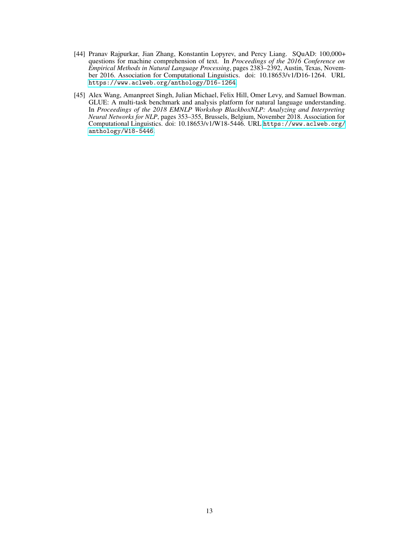- <span id="page-12-0"></span>[44] Pranav Rajpurkar, Jian Zhang, Konstantin Lopyrev, and Percy Liang. SQuAD: 100,000+ questions for machine comprehension of text. In *Proceedings of the 2016 Conference on Empirical Methods in Natural Language Processing*, pages 2383–2392, Austin, Texas, November 2016. Association for Computational Linguistics. doi: 10.18653/v1/D16-1264. URL <https://www.aclweb.org/anthology/D16-1264>.
- <span id="page-12-1"></span>[45] Alex Wang, Amanpreet Singh, Julian Michael, Felix Hill, Omer Levy, and Samuel Bowman. GLUE: A multi-task benchmark and analysis platform for natural language understanding. In *Proceedings of the 2018 EMNLP Workshop BlackboxNLP: Analyzing and Interpreting Neural Networks for NLP*, pages 353–355, Brussels, Belgium, November 2018. Association for Computational Linguistics. doi: 10.18653/v1/W18-5446. URL [https://www.aclweb.org/](https://www.aclweb.org/anthology/W18-5446) [anthology/W18-5446](https://www.aclweb.org/anthology/W18-5446).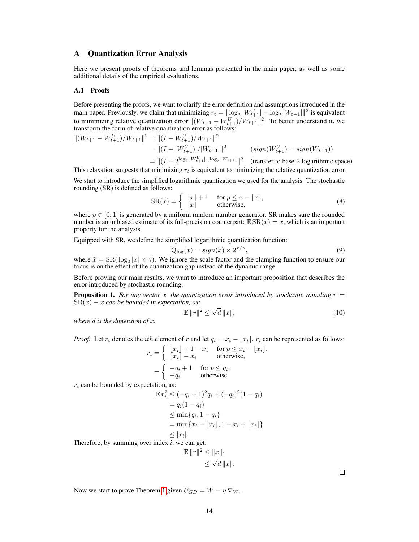## A Quantization Error Analysis

Here we present proofs of theorems and lemmas presented in the main paper, as well as some additional details of the empirical evaluations.

#### A.1 Proofs

Before presenting the proofs, we want to clarify the error definition and assumptions introduced in the main paper. Previously, we claim that minimizing  $r_t = ||log_2|W_{t+1}|| - log_2|W_{t+1}|||^2$  is equivalent to minimizing relative quantization error  $||(W_{t+1} - W_{t+1}^U)/W_{t+1}||^2$ . To better understand it, we transform the form of relative quantization error as follows:

$$
||(W_{t+1} - W_{t+1}^U)/W_{t+1}||^2 = ||(I - W_{t+1}^U)/W_{t+1}||^2
$$
  
\n
$$
= ||(I - |W_{t+1}^U)/|W_{t+1}||^2 \qquad (sign(W_{t+1}^U) = sign(W_{t+1}))
$$
  
\n
$$
= ||(I - 2^{\log_2 |W_{t+1}^U| - \log_2 |W_{t+1}||^2} \qquad (transfer to base-2 logarithmic space)
$$

This relaxation suggests that minimizing  $r_t$  is equivalent to minimizing the relative quantization error.

We start to introduce the simplified logarithmic quantization we used for the analysis. The stochastic rounding (SR) is defined as follows:

$$
SR(x) = \begin{cases} \begin{bmatrix} x \\ x \end{bmatrix} + 1 & \text{for } p \le x - \lfloor x \rfloor, \\ \text{otherwise,} \end{cases}
$$
 (8)

where  $p \in [0, 1]$  is generated by a uniform random number generator. SR makes sure the rounded number is an unbiased estimate of its full-precision counterpart:  $\mathbb{E} \, \text{SR}(x) = x$ , which is an important property for the analysis.

Equipped with SR, we define the simplified logarithmic quantization function:

$$
Q_{\text{log}}(x) = sign(x) \times 2^{\tilde{x}/\gamma},\tag{9}
$$

where  $\tilde{x} = SR(\log_2 |x| \times \gamma)$ . We ignore the scale factor and the clamping function to ensure our focus is on the effect of the quantization gap instead of the dynamic range.

Before proving our main results, we want to introduce an important proposition that describes the error introduced by stochastic rounding.

<span id="page-13-1"></span>**Proposition 1.** For any vector x, the quantization error introduced by stochastic rounding  $r =$  $S\mathcal{R}(x) - x$  *can be bounded in expectation, as:* 

<span id="page-13-0"></span>
$$
\mathbb{E} \|r\|^2 \le \sqrt{d} \|x\|,\tag{10}
$$

*where d is the dimension of* x*.*

*Proof.* Let  $r_i$  denotes the *i*th element of r and let  $q_i = x_i - \lfloor x_i \rfloor$ .  $r_i$  can be represented as follows:

$$
r_i = \begin{cases} \lfloor x_i \rfloor + 1 - x_i & \text{for } p \le x_i - \lfloor x_i \rfloor, \\ \lfloor x_i \rfloor - x_i & \text{otherwise,} \end{cases}
$$

$$
= \begin{cases} -q_i + 1 & \text{for } p \le q_i, \\ -q_i & \text{otherwise.} \end{cases}
$$

 $r_i$  can be bounded by expectation, as:

$$
\mathbb{E} r_i^2 \le (-q_i + 1)^2 q_i + (-q_i)^2 (1 - q_i) \n= q_i (1 - q_i) \n\le \min\{q_i, 1 - q_i\} \n= \min\{x_i - \lfloor x_i \rfloor, 1 - x_i + \lfloor x_i \rfloor\} \n\le |x_i|.
$$

Therefore, by summing over index  $i$ , we can get:

$$
\mathbb{E} \|r\|^2 \le \|x\|_1
$$
  

$$
\le \sqrt{d} \|x\|.
$$

 $\Box$ 

Now we start to prove Theorem [1](#page-5-0) given  $U_{GD} = W - \eta \nabla_W$ .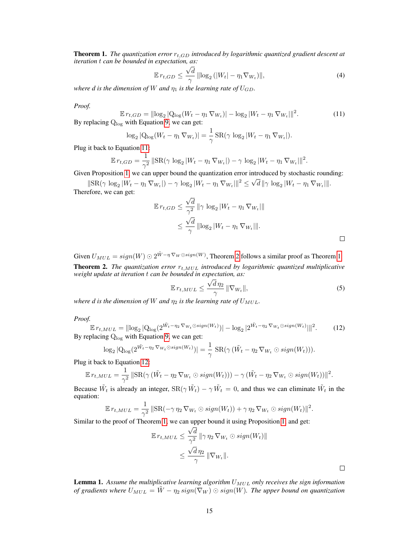**Theorem 1.** *The quantization error*  $r_{t,GD}$  *introduced by logarithmic quantized gradient descent at iteration* t *can be bounded in expectation, as:*

<span id="page-14-0"></span>
$$
\mathbb{E} r_{t,GD} \le \frac{\sqrt{d}}{\gamma} \left\| \log_2 \left( |W_t| - \eta_1 \nabla_{W_t} \right) \right\|, \tag{4}
$$

*where d is the dimension of* W *and*  $\eta_1$  *is the learning rate of*  $U_{GD}$ *.* 

*Proof.*

$$
\mathbb{E} r_{t,GD} = ||\log_2 |\mathcal{Q}_{\log}(W_t - \eta_1 \nabla_{W_t})| - \log_2 |W_t - \eta_1 \nabla_{W_t}||^2.
$$
\nBy replacing  $\mathcal{Q}_{\log}$  with Equation 9, we can get:

\n
$$
\tag{11}
$$

$$
\log_2 |Q_{\log}(W_t - \eta_1 \nabla_{W_t})| = \frac{1}{\gamma} \operatorname{SR}(\gamma \log_2 |W_t - \eta_1 \nabla_{W_t}|).
$$

Plug it back to Equation [11:](#page-14-0)

$$
\mathbb{E} r_{t, GD} = \frac{1}{\gamma^2} \|\text{SR}(\gamma \log_2 |W_t - \eta_1 \nabla_{W_t}|) - \gamma \log_2 |W_t - \eta_1 \nabla_{W_t}|\|^2.
$$

Given Proposition [1,](#page-13-1) we can upper bound the quantization error introduced by stochastic rounding:

 $\|\text{SR}(\gamma \log_2 |W_t - \eta_1 \nabla_{W_t}|) - \gamma \log_2 |W_t - \eta_1 \nabla_{W_t}|\|^2 \leq \sqrt{d} \|\gamma \log_2 |W_t - \eta_1 \nabla_{W_t}|\|.$ Therefore, we can get:

$$
\mathbb{E} r_{t, GD} \le \frac{\sqrt{d}}{\gamma^2} \|\gamma \log_2 |W_t - \eta_1 \nabla_{W_t}|\|
$$
  

$$
\le \frac{\sqrt{d}}{\gamma} \|\log_2 |W_t - \eta_1 \nabla_{W_t}|\|.
$$

Given  $U_{MUL} = sign(W) \odot 2^{\tilde{W}-\eta \nabla_W \odot sign(W)}$  $U_{MUL} = sign(W) \odot 2^{\tilde{W}-\eta \nabla_W \odot sign(W)}$  $U_{MUL} = sign(W) \odot 2^{\tilde{W}-\eta \nabla_W \odot sign(W)}$ , Theorem 2 follows a similar proof as Theorem [1.](#page-5-0) **Theorem 2.** *The quantization error*  $r_{t,MUL}$  *introduced by logarithmic quantized multiplicative weight update at iteration* t *can be bounded in expectation, as:*

$$
\mathbb{E}\,r_{t,MUL} \leq \frac{\sqrt{d}\,\eta_2}{\gamma}\,\|\nabla_{W_t}\|,\tag{5}
$$

*where d is the dimension of* W *and*  $\eta_2$  *is the learning rate of*  $U_{MUL}$ *.* 

*Proof.*

$$
\mathbb{E} \, r_{t,MUL} = ||\log_2 |\mathcal{Q}_{\log}(2^{\tilde{W}_t - \eta_2 \, \nabla_{W_t} \odot sign(W_t)})| - \log_2 |2^{\tilde{W}_t - \eta_2 \, \nabla_{W_t} \odot sign(W_t)}||^2. \tag{12}
$$
\nBy replacing  $\mathcal{Q}_{\log}$  with Equation 9, we can get:

$$
\log_2 |Q_{\log}(2^{\tilde{W}_t-\eta_2 \nabla_{W_t}\odot sign(W_t)})| = \frac{1}{\gamma} \, SR(\gamma \, (\tilde{W}_t-\eta_2 \nabla_{W_t} \odot sign(W_t))).
$$

Plug it back to Equation [12:](#page-14-1)

$$
\mathbb{E} r_{t,MUL} = \frac{1}{\gamma^2} \|\text{SR}(\gamma(\tilde{W}_t - \eta_2 \nabla_{W_t} \odot sign(W_t))) - \gamma(\tilde{W}_t - \eta_2 \nabla_{W_t} \odot sign(W_t))\|^2.
$$

Because  $\tilde{W}_t$  is already an integer,  $\text{SR}(\gamma \tilde{W}_t) - \gamma \tilde{W}_t = 0$ , and thus we can eliminate  $\tilde{W}_t$  in the equation:

$$
\mathbb{E} r_{t,MUL} = \frac{1}{\gamma^2} \|\text{SR}(-\gamma \eta_2 \nabla_{W_t} \odot sign(W_t)) + \gamma \eta_2 \nabla_{W_t} \odot sign(W_t)\|^2.
$$

Similar to the proof of Theorem [1,](#page-5-0) we can upper bound it using Proposition [1,](#page-13-1) and get:

$$
\mathbb{E} r_{t,MUL} \leq \frac{\sqrt{d}}{\gamma^2} \|\gamma \eta_2 \nabla_{W_t} \odot sign(W_t)\|
$$
  

$$
\leq \frac{\sqrt{d} \eta_2}{\gamma} \|\nabla_{W_t}\|.
$$

Lemma 1. Assume the multiplicative learning algorithm  $U_{MUL}$  only receives the sign information *of gradients where*  $U_{MUL} = \tilde{W} - \eta_2 sign(\nabla_W) \odot sign(W)$ . The upper bound on quantization

<span id="page-14-1"></span> $\Box$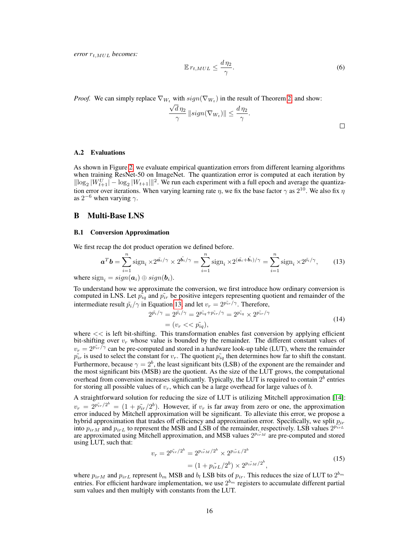*error*  $r_{t,MUL}$  *becomes:* 

$$
\mathbb{E}\,r_{t,MUL} \leq \frac{d\,\eta_2}{\gamma}.\tag{6}
$$

*Proof.* We can simply replace  $\nabla_{W_t}$  with  $sign(\nabla_{W_t})$  in the result of Theorem [2,](#page-5-1) and show:

$$
\frac{\sqrt{d}\,\eta_2}{\gamma}\,\|sign(\nabla_{W_t})\| \leq \frac{d\,\eta_2}{\gamma}.
$$

#### A.2 Evaluations

As shown in Figure [2,](#page-4-0) we evaluate empirical quantization errors from different learning algorithms when training ResNet-50 on ImageNet. The quantization error is computed at each iteration by  $\|\log_2|W_{t+1}^U| - \log_2|W_{t+1}|\|^2$ . We run each experiment with a full epoch and average the quantization error over iterations. When varying learning rate  $\eta$ , we fix the base factor  $\gamma$  as  $2^{10}$ . We also fix  $\eta$ as  $2^{-6}$  when varying  $\gamma$ .

## B Multi-Base LNS

where

#### B.1 Conversion Approximation

We first recap the dot product operation we defined before.

$$
\mathbf{a}^T \mathbf{b} = \sum_{i=1}^n \text{sign}_i \times 2^{\tilde{\mathbf{a}}_i/\gamma} \times 2^{\tilde{\mathbf{b}}_i/\gamma} = \sum_{i=1}^n \text{sign}_i \times 2^{(\tilde{\mathbf{a}}_i + \tilde{\mathbf{b}}_i)/\gamma} = \sum_{i=1}^n \text{sign}_i \times 2^{\tilde{p}_i/\gamma},\qquad(13)
$$
  
sign<sub>i</sub> = sign( $\mathbf{a}_i$ )  $\oplus$  sign( $\mathbf{b}_i$ ).

To understand how we approximate the conversion, we first introduce how ordinary conversion is computed in LNS. Let  $\tilde{p_{iq}}$  and  $\tilde{p_{ir}}$  be positive integers representing quotient and remainder of the intermediate result  $\tilde{p}_i/\gamma$  in Equation [13,](#page-15-0) and let  $v_r = 2^{p_{ir}/\gamma}$ . Therefore,

<span id="page-15-0"></span>
$$
2^{\tilde{p_i}/\gamma} = 2^{\tilde{p_i}/\gamma} = 2^{p_{iq}^{\gamma} + p_{ir}^{\gamma}/\gamma} = 2^{p_{iq}^{\gamma}} \times 2^{p_{ir}^{\gamma}/\gamma}
$$
  
=  $(v_r \ll \tilde{p_{iq}}),$  (14)

where  $<<$  is left bit-shifting. This transformation enables fast conversion by applying efficient bit-shifting over  $v_r$  whose value is bounded by the remainder. The different constant values of  $v_r = 2^{p_{ir}/\gamma}$  can be pre-computed and stored in a hardware look-up table (LUT), where the remainder  $\tilde{p}_{ir}$  is used to select the constant for  $v_r$ . The quotient  $\tilde{p}_{iq}$  then determines how far to shift the constant. Furthermore, because  $\gamma = 2^b$ , the least significant bits (LSB) of the exponent are the remainder and the most significant bits (MSB) are the quotient. As the size of the LUT grows, the computational overhead from conversion increases significantly. Typically, the LUT is required to contain  $2^b$  entries for storing all possible values of  $v_r$ , which can be a large overhead for large values of b.

A straightforward solution for reducing the size of LUT is utilizing Mitchell approximation [\[14\]](#page-10-3):  $v_r = 2^{p_{ir}/2^b} = (1 + p_{ir}/2^b)$ . However, if  $v_r$  is far away from zero or one, the approximation error induced by Mitchell approximation will be significant. To alleviate this error, we propose a hybrid approximation that trades off efficiency and approximation error. Specifically, we split  $p_{ir}$ into  $p_{irM}$  and  $p_{irL}$  to represent the MSB and LSB of the remainder, respectively. LSB values  $2^{p_{irL}}$ are approximated using Mitchell approximation, and MSB values  $2^{pi\pi M}$  are pre-computed and stored using LUT, such that:

$$
v_r = 2^{p_{ir}^{\tilde{v}}/2^b} = 2^{p_{irM}^{\tilde{v}}/2^b} \times 2^{p_{irL}^{\tilde{v}}/2^b}
$$
  
=  $(1 + p_{irL}^{\tilde{v}}/2^b) \times 2^{p_{irM}^{\tilde{v}}/2^b}$ , (15)

where  $p_{irM}$  and  $p_{irL}$  represent  $b_m$  MSB and  $b_l$  LSB bits of  $p_{ir}$ . This reduces the size of LUT to  $2^{b_m}$ entries. For efficient hardware implementation, we use  $2^{b_m}$  registers to accumulate different partial sum values and then multiply with constants from the LUT.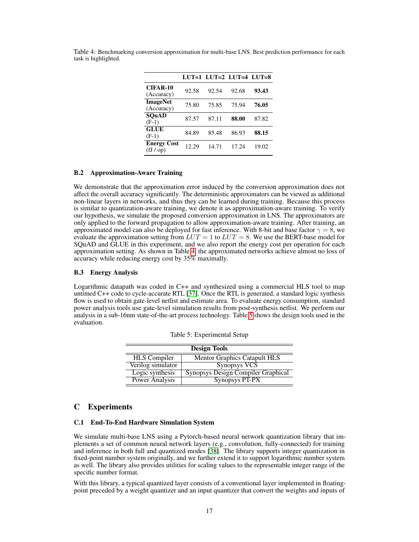|                                 |       | $LUT=1$ $LUT=2$ $LUT=4$ $LUT=8$ |       |       |
|---------------------------------|-------|---------------------------------|-------|-------|
| <b>CIFAR-10</b><br>(Accuracy)   | 92.58 | 92.54                           | 92.68 | 93.43 |
| <b>ImageNet</b><br>(Accuracy)   | 75.80 | 75.85                           | 75.94 | 76.05 |
| <b>SOuAD</b><br>$(F-1)$         | 87.57 | 87.11                           | 88.00 | 87.82 |
| <b>GLUE</b><br>$(F-1)$          | 84.89 | 85.48                           | 86.93 | 88.15 |
| <b>Energy Cost</b><br>(fJ / op) | 12.29 | 14.71                           | 17.24 | 19.02 |

<span id="page-16-0"></span>Table 4: Benchmarking conversion approximation for multi-base LNS. Best prediction performance for each task is highlighted.

## B.2 Approximation-Aware Training

We demonstrate that the approximation error induced by the conversion approximation does not affect the overall accuracy significantly. The deterministic approximators can be viewed as additional non-linear layers in networks, and thus they can be learned during training. Because this process is similar to quantization-aware training, we denote it as approximation-aware training. To verify our hypothesis, we simulate the proposed conversion approximation in LNS. The approximators are only applied to the forward propagation to allow approximation-aware training. After training, an approximated model can also be deployed for fast inference. With 8-bit and base factor  $\gamma = 8$ , we evaluate the approximation setting from  $LUT = 1$  to  $LUT = 8$ . We use the BERT-base model for SQuAD and GLUE in this experiment, and we also report the energy cost per operation for each approximation setting. As shown in Table [4,](#page-16-0) the approximated networks achieve almost no loss of accuracy while reducing energy cost by 35% maximally.

## B.3 Energy Analysis

Logarithmic datapath was coded in C++ and synthesized using a commercial HLS tool to map untimed C++ code to cycle-accurate RTL [\[37\]](#page-11-10). Once the RTL is generated, a standard logic synthesis flow is used to obtain gate-level netlist and estimate area. To evaluate energy consumption, standard power analysis tools use gate-level simulation results from post-synthesis netlist. We perform our analysis in a sub-16nm state-of-the-art process technology. Table [5](#page-16-1) shows the design tools used in the evaluation.

| <b>Design Tools</b>   |                                           |  |  |
|-----------------------|-------------------------------------------|--|--|
| <b>HLS</b> Compiler   | <b>Mentor Graphics Catapult HLS</b>       |  |  |
| Verilog simulator     | Synopsys VCS                              |  |  |
| Logic synthesis       | <b>Synopsys Design Compiler Graphical</b> |  |  |
| <b>Power Analysis</b> | <b>Synopsys PT-PX</b>                     |  |  |

<span id="page-16-1"></span>Table 5: Experimental Setup

# C Experiments

## C.1 End-To-End Hardware Simulation System

We simulate multi-base LNS using a Pytorch-based neural network quantization library that implements a set of common neural network layers (e.g., convolution, fully-connected) for training and inference in both full and quantized modes [\[38\]](#page-11-11). The library supports integer quantization in fixed-point number system originally, and we further extend it to support logarithmic number system as well. The library also provides utilities for scaling values to the representable integer range of the specific number format.

With this library, a typical quantized layer consists of a conventional layer implemented in floatingpoint preceded by a weight quantizer and an input quantizer that convert the weights and inputs of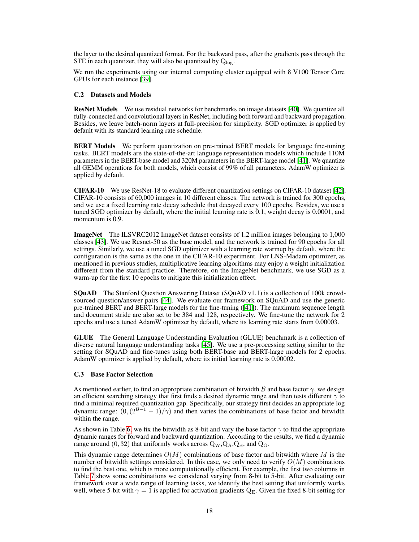the layer to the desired quantized format. For the backward pass, after the gradients pass through the STE in each quantizer, they will also be quantized by  $Q_{\text{loc}}$ .

We run the experiments using our internal computing cluster equipped with  $8 \text{ V}100$  Tensor Core GPUs for each instance [\[39\]](#page-11-12).

#### C.2 Datasets and Models

ResNet Models We use residual networks for benchmarks on image datasets [\[40\]](#page-11-13). We quantize all fully-connected and convolutional layers in ResNet, including both forward and backward propagation. Besides, we leave batch-norm layers at full-precision for simplicity. SGD optimizer is applied by default with its standard learning rate schedule.

**BERT Models** We perform quantization on pre-trained BERT models for language fine-tuning tasks. BERT models are the state-of-the-art language representation models which include 110M parameters in the BERT-base model and 320M parameters in the BERT-large model [\[41\]](#page-11-14). We quantize all GEMM operations for both models, which consist of 99% of all parameters. AdamW optimizer is applied by default.

CIFAR-10 We use ResNet-18 to evaluate different quantization settings on CIFAR-10 dataset [\[42\]](#page-11-15). CIFAR-10 consists of 60,000 images in 10 different classes. The network is trained for 300 epochs, and we use a fixed learning rate decay schedule that decayed every 100 epochs. Besides, we use a tuned SGD optimizer by default, where the initial learning rate is 0.1, weight decay is 0.0001, and momentum is 0.9.

ImageNet The ILSVRC2012 ImageNet dataset consists of 1.2 million images belonging to 1,000 classes [\[43\]](#page-11-16). We use Resnet-50 as the base model, and the network is trained for 90 epochs for all settings. Similarly, we use a tuned SGD optimizer with a learning rate warmup by default, where the configuration is the same as the one in the CIFAR-10 experiment. For LNS-Madam optimizer, as mentioned in previous studies, multiplicative learning algorithms may enjoy a weight initialization different from the standard practice. Therefore, on the ImageNet benchmark, we use SGD as a warm-up for the first 10 epochs to mitigate this initialization effect.

SQuAD The Stanford Question Answering Dataset (SQuAD v1.1) is a collection of 100k crowdsourced question/answer pairs [\[44\]](#page-12-0). We evaluate our framework on SQuAD and use the generic pre-trained BERT and BERT-large models for the fine-tuning ([\[41\]](#page-11-14)). The maximum sequence length and document stride are also set to be 384 and 128, respectively. We fine-tune the network for 2 epochs and use a tuned AdamW optimizer by default, where its learning rate starts from 0.00003.

GLUE The General Language Understanding Evaluation (GLUE) benchmark is a collection of diverse natural language understanding tasks [\[45\]](#page-12-1). We use a pre-processing setting similar to the setting for SQuAD and fine-tunes using both BERT-base and BERT-large models for 2 epochs. AdamW optimizer is applied by default, where its initial learning rate is 0.00002.

## C.3 Base Factor Selection

As mentioned earlier, to find an appropriate combination of bitwidth B and base factor  $\gamma$ , we design an efficient searching strategy that first finds a desired dynamic range and then tests different  $\gamma$  to find a minimal required quantization gap. Specifically, our strategy first decides an appropriate log dynamic range:  $(0, (2^{B-1} - 1)/\gamma)$  and then varies the combinations of base factor and bitwidth within the range.

As shown in Table [6,](#page-18-0) we fix the bitwidth as 8-bit and vary the base factor  $\gamma$  to find the appropriate dynamic ranges for forward and backward quantization. According to the results, we find a dynamic range around  $(0, 32)$  that uniformly works across  $Q_W, Q_A, Q_E$ , and  $Q_G$ .

This dynamic range determines  $O(M)$  combinations of base factor and bitwidth where M is the number of bitwidth settings considered. In this case, we only need to verify  $O(M)$  combinations to find the best one, which is more computationally efficient. For example, the first two columns in Table [7](#page-18-1) show some combinations we considered varying from 8-bit to 5-bit. After evaluating our framework over a wide range of learning tasks, we identify the best setting that uniformly works well, where 5-bit with  $\gamma = 1$  is applied for activation gradients Q<sub>E</sub>. Given the fixed 8-bit setting for